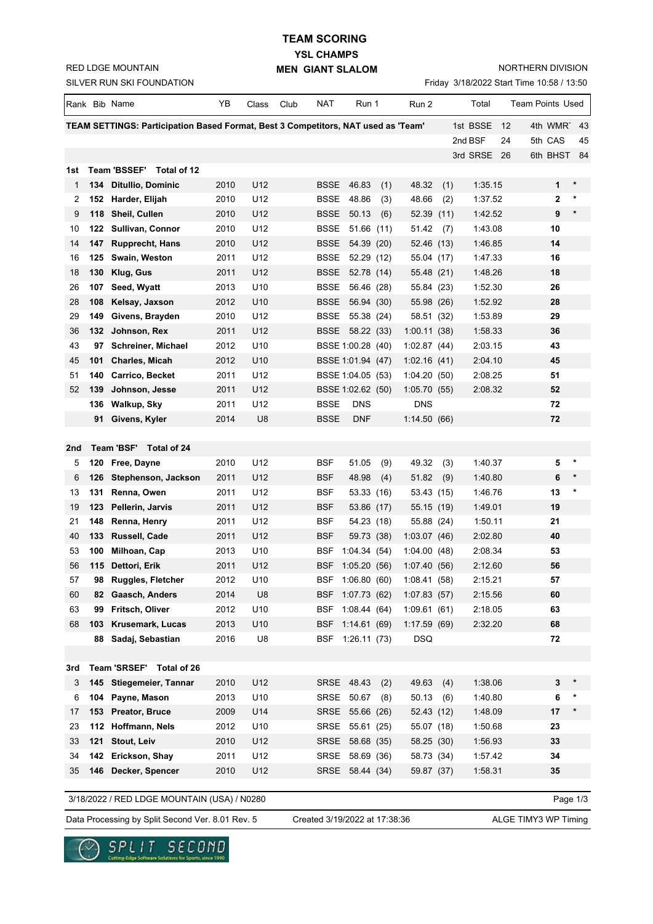**YSL CHAMPS TEAM SCORING**

**MEN GIANT SLALOM**

NORTHERN DIVISION

| SILVER RUN SKI FOUNDATION<br>Friday 3/18/2022 Start Time 10:58 / 13:50 |     |                                                                                   |              |                       |      |                     |                               |     |                           |     |                    |                  |
|------------------------------------------------------------------------|-----|-----------------------------------------------------------------------------------|--------------|-----------------------|------|---------------------|-------------------------------|-----|---------------------------|-----|--------------------|------------------|
|                                                                        |     | Rank Bib Name                                                                     | YΒ           | Class                 | Club | <b>NAT</b>          | Run 1                         |     | Run 2                     |     | Total              | Team Points Used |
|                                                                        |     | TEAM SETTINGS: Participation Based Format, Best 3 Competitors, NAT used as 'Team' |              |                       |      |                     |                               |     |                           |     | 1st BSSE<br>12     | 4th WMRT<br>43   |
|                                                                        |     |                                                                                   |              |                       |      |                     |                               |     |                           |     | 2nd BSF<br>24      | 5th CAS<br>45    |
|                                                                        |     |                                                                                   |              |                       |      |                     |                               |     |                           |     | 3rd SRSE<br>26     | 6th BHST<br>-84  |
| 1st                                                                    |     | Team 'BSSEF' Total of 12                                                          |              |                       |      |                     |                               |     |                           |     |                    |                  |
| 1                                                                      |     | 134 Ditullio, Dominic                                                             | 2010         | U12                   |      | BSSE                | 46.83                         | (1) | 48.32                     | (1) | 1:35.15            | *<br>1           |
| 2                                                                      |     | 152 Harder, Elijah                                                                | 2010         | U12                   |      | BSSE                | 48.86                         | (3) | 48.66                     | (2) | 1:37.52            | *<br>2           |
| 9                                                                      |     | 118 Sheil, Cullen                                                                 | 2010         | U12                   |      | <b>BSSE</b>         | 50.13                         | (6) | 52.39 (11)                |     | 1:42.52            | $\star$<br>9     |
| 10                                                                     |     | 122 Sullivan, Connor                                                              | 2010         | U12                   |      | <b>BSSE</b>         | 51.66(11)                     |     | 51.42                     | (7) | 1:43.08            | 10               |
| 14                                                                     |     | 147 Rupprecht, Hans                                                               | 2010         | U12                   |      | <b>BSSE</b>         | 54.39 (20)                    |     | 52.46 (13)                |     | 1:46.85            | 14               |
| 16                                                                     |     | 125 Swain, Weston                                                                 | 2011         | U12                   |      | BSSE                | 52.29 (12)                    |     | 55.04 (17)                |     | 1:47.33            | 16               |
| 18                                                                     | 130 | Klug, Gus                                                                         | 2011         | U12                   |      | <b>BSSE</b>         | 52.78 (14)                    |     | 55.48 (21)                |     | 1:48.26            | 18               |
| 26                                                                     | 107 | Seed, Wyatt                                                                       | 2013         | U <sub>10</sub>       |      | BSSE                | 56.46 (28)                    |     | 55.84 (23)                |     | 1:52.30            | 26               |
| 28                                                                     | 108 | Kelsay, Jaxson                                                                    | 2012         | U <sub>10</sub>       |      | BSSE                | 56.94 (30)                    |     | 55.98 (26)                |     | 1:52.92            | 28               |
| 29                                                                     | 149 | Givens, Brayden                                                                   | 2010         | U12                   |      | BSSE                | 55.38 (24)                    |     | 58.51 (32)                |     | 1:53.89            | 29               |
| 36                                                                     |     | 132 Johnson, Rex                                                                  | 2011         | U12                   |      |                     | BSSE 58.22 (33)               |     | 1:00.11(38)               |     | 1:58.33            | 36               |
| 43                                                                     | 97  | <b>Schreiner, Michael</b>                                                         | 2012         | U10                   |      |                     | BSSE 1:00.28 (40)             |     | 1:02.87(44)               |     | 2:03.15            | 43               |
| 45                                                                     | 101 | <b>Charles, Micah</b>                                                             | 2012         | U <sub>10</sub>       |      |                     | BSSE 1:01.94 (47)             |     | 1:02.16(41)               |     | 2:04.10            | 45               |
| 51                                                                     | 140 | Carrico, Becket                                                                   | 2011         | U12                   |      |                     | BSSE 1:04.05 (53)             |     | 1:04.20(50)               |     | 2:08.25            | 51               |
| 52                                                                     | 139 | Johnson, Jesse                                                                    | 2011         | U12                   |      |                     | BSSE 1:02.62 (50)             |     | 1:05.70(55)               |     | 2:08.32            | 52               |
|                                                                        | 91  | 136 Walkup, Sky<br>Givens, Kyler                                                  | 2011<br>2014 | U12<br>U <sub>8</sub> |      | <b>BSSE</b><br>BSSE | <b>DNS</b><br><b>DNF</b>      |     | <b>DNS</b><br>1:14.50(66) |     |                    | 72<br>72         |
|                                                                        |     |                                                                                   |              |                       |      |                     |                               |     |                           |     |                    |                  |
| 2nd                                                                    |     | Team 'BSF' Total of 24                                                            |              |                       |      |                     |                               |     |                           |     |                    |                  |
| 5                                                                      |     | 120 Free, Dayne                                                                   | 2010         | U12                   |      | <b>BSF</b>          | 51.05                         | (9) | 49.32                     | (3) | 1:40.37            | *<br>5           |
| 6                                                                      | 126 | Stephenson, Jackson                                                               | 2011         | U12                   |      | BSF                 | 48.98                         | (4) | 51.82                     | (9) | 1:40.80            | 6                |
| 13                                                                     |     | 131 Renna, Owen                                                                   | 2011         | U12                   |      | <b>BSF</b>          | 53.33 (16)                    |     | 53.43 (15)                |     | 1:46.76            | 13<br>*          |
| 19                                                                     | 123 | Pellerin, Jarvis                                                                  | 2011         | U12                   |      | BSF                 | 53.86 (17)                    |     | 55.15 (19)                |     | 1:49.01            | 19               |
| 21                                                                     |     | 148 Renna, Henry                                                                  | 2011         | U12                   |      | <b>BSF</b>          | 54.23 (18)                    |     | 55.88 (24)                |     | 1:50.11            | 21               |
| 40                                                                     |     | 133 Russell, Cade                                                                 | 2011         | U12                   |      | <b>BSF</b>          | 59.73 (38)                    |     | 1:03.07(46)               |     | 2:02.80            | 40               |
| 53                                                                     |     | 100 Milhoan, Cap                                                                  | 2013         | U <sub>10</sub>       |      | BSF                 | 1:04.34(54)                   |     | 1:04.00(48)               |     | 2:08.34            | 53               |
| 56                                                                     |     | 115 Dettori, Erik                                                                 | 2011         | U12                   |      |                     | BSF 1:05.20 (56)              |     | 1:07.40(56)               |     | 2:12.60            | 56               |
| 57                                                                     |     | 98 Ruggles, Fletcher                                                              | 2012         | U10                   |      |                     | BSF 1:06.80 (60)              |     | 1:08.41(58)               |     | 2:15.21            | 57               |
| 60                                                                     | 82. | Gaasch, Anders                                                                    | 2014         | U8                    |      |                     | BSF 1:07.73 (62)              |     | 1:07.83(57)               |     | 2:15.56            | 60               |
| 63                                                                     | 99  | Fritsch, Oliver                                                                   | 2012         | U10                   |      |                     | BSF 1:08.44 (64)              |     | 1:09.61(61)               |     | 2:18.05            | 63               |
| 68                                                                     | 103 | Krusemark, Lucas                                                                  | 2013         | U10                   |      | BSF                 | 1:14.61(69)                   |     | 1:17.59(69)               |     | 2:32.20            | 68               |
|                                                                        |     | 88 Sadaj, Sebastian                                                               | 2016         | U8                    |      | <b>BSF</b>          | 1:26.11(73)                   |     | <b>DSQ</b>                |     |                    | 72               |
|                                                                        |     |                                                                                   |              |                       |      |                     |                               |     |                           |     |                    |                  |
| 3rd                                                                    |     | Team 'SRSEF' Total of 26                                                          |              |                       |      |                     |                               |     |                           |     |                    |                  |
| 3                                                                      |     | 145 Stiegemeier, Tannar                                                           | 2010         | U12                   |      |                     | SRSE 48.43                    | (2) | 49.63                     | (4) | 1:38.06            | 3                |
| 6                                                                      |     | 104 Payne, Mason                                                                  | 2013         | U10                   |      | SRSE                | 50.67                         | (8) | 50.13                     | (6) | 1:40.80            | 6                |
| 17                                                                     |     | 153 Preator, Bruce                                                                | 2009         | U14                   |      |                     | SRSE 55.66 (26)               |     | 52.43 (12)                |     | 1:48.09            | 17<br>*          |
| 23                                                                     |     | 112 Hoffmann, Nels                                                                | 2012         | U10                   |      |                     | SRSE 55.61 (25)               |     | 55.07 (18)                |     | 1:50.68            | 23               |
| 33                                                                     |     | 121 Stout, Leiv                                                                   | 2010         | U12<br>U12            |      |                     | SRSE 58.68 (35)               |     | 58.25 (30)                |     | 1:56.93            | 33               |
| 34<br>35                                                               |     | 142 Erickson, Shay<br>146 Decker, Spencer                                         | 2011<br>2010 | U12                   |      | SRSE                | 58.69 (36)<br>SRSE 58.44 (34) |     | 58.73 (34)<br>59.87 (37)  |     | 1:57.42<br>1:58.31 | 34<br>35         |
|                                                                        |     |                                                                                   |              |                       |      |                     |                               |     |                           |     |                    |                  |
| 3/18/2022 / RED LDGE MOUNTAIN (USA) / N0280<br>Page 1/3                |     |                                                                                   |              |                       |      |                     |                               |     |                           |     |                    |                  |

Page 1/3

Data Processing by Split Second Ver. 8.01 Rev. 5 Created 3/19/2022 at 17:38:36 ALGE TIMY3 WP Timing

Created 3/19/2022 at 17:38:36



RED LDGE MOUNTAIN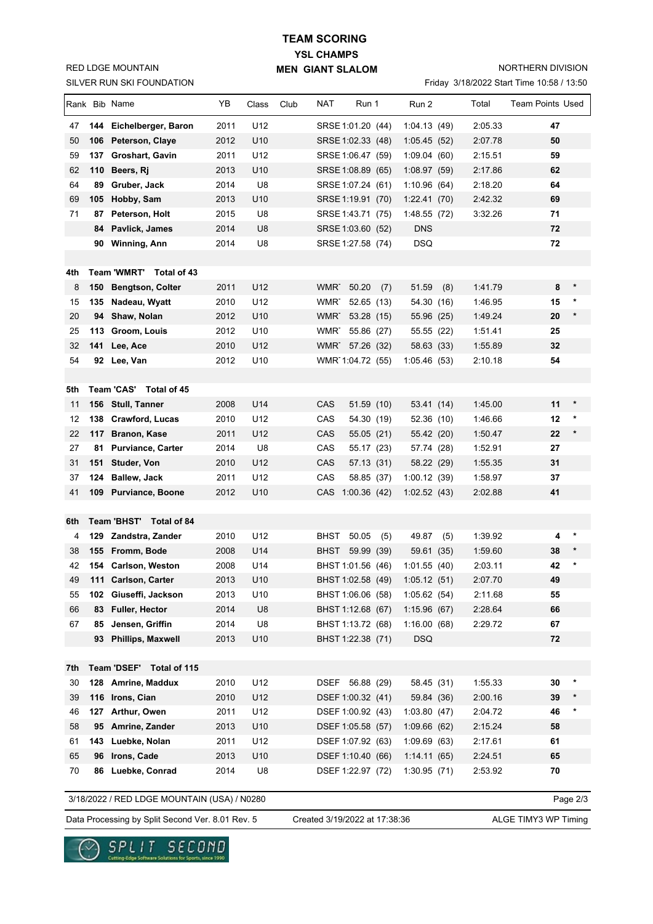SILVER RUN SKI FOUNDATION RED LDGE MOUNTAIN

## **YSL CHAMPS MEN GIANT SLALOM TEAM SCORING**

NORTHERN DIVISION

Friday 3/18/2022 Start Time 10:58 / 13:50

|           |     | Rank Bib Name                                  | YB           | Class           | Club | <b>NAT</b><br>Run 1              | Run 2                     | Total   | <b>Team Points Used</b> |
|-----------|-----|------------------------------------------------|--------------|-----------------|------|----------------------------------|---------------------------|---------|-------------------------|
| 47        |     | 144 Eichelberger, Baron                        | 2011         | U12             |      | SRSE 1:01.20 (44)                | 1:04.13(49)               | 2:05.33 | 47                      |
| 50        |     | 106 Peterson, Claye                            | 2012         | U <sub>10</sub> |      | SRSE 1:02.33 (48)                | 1:05.45(52)               | 2:07.78 | 50                      |
| 59        |     | 137 Groshart, Gavin                            | 2011         | U12             |      | SRSE 1:06.47 (59)                | 1:09.04(60)               | 2:15.51 | 59                      |
| 62        | 110 | Beers, Rj                                      | 2013         | U10             |      | SRSE 1:08.89 (65)                | 1:08.97(59)               | 2:17.86 | 62                      |
| 64        | 89  | Gruber, Jack                                   | 2014         | U8              |      | SRSE 1:07.24 (61)                | 1:10.96(64)               | 2:18.20 | 64                      |
| 69        |     | 105 Hobby, Sam                                 | 2013         | U10             |      | SRSE 1:19.91 (70)                | 1:22.41(70)               | 2:42.32 | 69                      |
| 71        | 87  | Peterson, Holt                                 | 2015         | U8              |      | SRSE 1:43.71 (75)                | 1:48.55(72)               | 3:32.26 | 71                      |
|           | 84  | Pavlick, James                                 | 2014         | U8              |      | SRSE 1:03.60 (52)                | <b>DNS</b>                |         | 72                      |
|           |     | 90 Winning, Ann                                | 2014         | U8              |      | SRSE 1:27.58 (74)                | <b>DSQ</b>                |         | 72                      |
| 4th       |     | Team 'WMRT' Total of 43                        |              |                 |      |                                  |                           |         |                         |
| 8         |     | 150 Bengtson, Colter                           | 2011         | U12             |      | WMR <sup>-</sup><br>50.20<br>(7) | 51.59<br>(8)              | 1:41.79 | *<br>8                  |
| 15        |     | 135 Nadeau, Wyatt                              | 2010         | U12             |      | WMR <sup>-</sup><br>52.65 (13)   | 54.30 (16)                | 1:46.95 | *<br>15                 |
| 20        | 94  | Shaw, Nolan                                    | 2012         | U <sub>10</sub> |      | WMR <sup>-</sup><br>53.28 (15)   | 55.96 (25)                | 1:49.24 | $\ast$<br>20            |
| 25        | 113 | Groom, Louis                                   | 2012         | U10             |      | WMR <sup>-</sup><br>55.86 (27)   | 55.55 (22)                | 1:51.41 | 25                      |
| 32        | 141 | Lee, Ace                                       | 2010         | U12             |      | WMR 57.26 (32)                   | 58.63 (33)                | 1:55.89 | 32                      |
| 54        | 92  | Lee, Van                                       | 2012         | U10             |      | WMR 1:04.72 (55)                 | 1:05.46(53)               | 2:10.18 | 54                      |
|           |     |                                                |              |                 |      |                                  |                           |         |                         |
| 5th       |     | Team 'CAS' Total of 45                         |              |                 |      |                                  |                           |         |                         |
| 11        |     | 156 Stull, Tanner                              | 2008         | U14             |      | CAS<br>51.59 (10)                | 53.41(14)                 | 1:45.00 | 11<br>$\ast$            |
| 12        |     | 138 Crawford, Lucas                            | 2010         | U12             |      | CAS<br>54.30 (19)                | 52.36 (10)                | 1:46.66 | 12<br>*                 |
| 22        | 117 | <b>Branon, Kase</b>                            | 2011         | U12             |      | CAS<br>55.05(21)                 | 55.42 (20)                | 1:50.47 | 22<br>*                 |
| 27        |     | 81 Purviance, Carter                           | 2014         | U8              |      | CAS<br>55.17 (23)                | 57.74 (28)                | 1:52.91 | 27                      |
| 31        | 151 | <b>Studer, Von</b>                             | 2010         | U12             |      | CAS<br>57.13 (31)                | 58.22 (29)                | 1:55.35 | 31                      |
| 37        | 124 | Ballew, Jack                                   | 2011         | U12             |      | CAS<br>58.85 (37)                | 1:00.12(39)               | 1:58.97 | 37                      |
| 41        |     | 109 Purviance, Boone                           | 2012         | U10             |      | CAS 1:00.36 (42)                 | 1:02.52(43)               | 2:02.88 | 41                      |
|           |     |                                                |              |                 |      |                                  |                           |         |                         |
| 6th       |     | Team 'BHST'<br>Total of 84                     |              |                 |      |                                  |                           |         |                         |
| 4         |     | 129 Zandstra, Zander                           | 2010         | U12             |      | BHST<br>50.05<br>(5)             | 49.87<br>(5)              | 1:39.92 | *<br>4                  |
| 38        |     | 155 Fromm, Bode                                | 2008         | U14             |      | BHST<br>59.99 (39)               | 59.61 (35)                | 1:59.60 | 38                      |
| 42        |     | 154 Carlson, Weston                            | 2008         | U14             |      | BHST 1:01.56 (46)                | 1:01.55(40)               | 2:03.11 | 42                      |
| 49        |     | 111 Carlson, Carter                            | 2013         | U10             |      | BHST 1:02.58 (49) 1:05.12 (51)   |                           | 2:07.70 | 49                      |
| 55        | 102 | Giuseffi, Jackson                              | 2013         | U10             |      | BHST 1:06.06 (58)                | 1:05.62(54)               | 2:11.68 | 55                      |
| 66        | 83  | Fuller, Hector                                 | 2014         | U8              |      | BHST 1:12.68 (67)                | 1:15.96(67)               | 2:28.64 | 66                      |
| 67        | 85  | Jensen, Griffin                                | 2014         | U8              |      | BHST 1:13.72 (68)                | 1:16.00(68)               | 2:29.72 | 67                      |
|           | 93. | <b>Phillips, Maxwell</b>                       | 2013         | U10             |      | BHST 1:22.38 (71)                | <b>DSQ</b>                |         | 72                      |
|           |     |                                                |              |                 |      |                                  |                           |         |                         |
| 7th<br>30 |     | Team 'DSEF' Total of 115<br>128 Amrine, Maddux | 2010         | U12             |      | DSEF 56.88 (29)                  | 58.45 (31)                | 1:55.33 | 30                      |
| 39        |     | 116 Irons, Cian                                |              |                 |      | DSEF 1:00.32 (41)                |                           | 2:00.16 |                         |
| 46        |     | 127 Arthur, Owen                               | 2010<br>2011 | U12<br>U12      |      | DSEF 1:00.92 (43)                | 59.84 (36)<br>1:03.80(47) | 2:04.72 | 39<br>46                |
| 58        |     | 95 Amrine, Zander                              | 2013         | U10             |      | DSEF 1:05.58 (57)                | 1:09.66(62)               | 2:15.24 | 58                      |
| 61        |     | 143 Luebke, Nolan                              | 2011         | U12             |      | DSEF 1:07.92 (63)                | 1:09.69(63)               | 2:17.61 | 61                      |
| 65        | 96  | Irons, Cade                                    | 2013         | U10             |      | DSEF 1:10.40 (66)                | 1:14.11(65)               | 2:24.51 | 65                      |
| 70        |     | 86 Luebke, Conrad                              | 2014         | U8              |      | DSEF 1:22.97 (72)                | 1:30.95(71)               | 2:53.92 | 70                      |
|           |     |                                                |              |                 |      |                                  |                           |         |                         |
|           |     | 3/18/2022 / RED LDGE MOUNTAIN (USA) / N0280    |              |                 |      |                                  |                           |         | Page 2/3                |

Data Processing by Split Second Ver. 8.01 Rev. 5 Created 3/19/2022 at 17:38:36 ALGE TIMY3 WP Timing

Created 3/19/2022 at 17:38:36